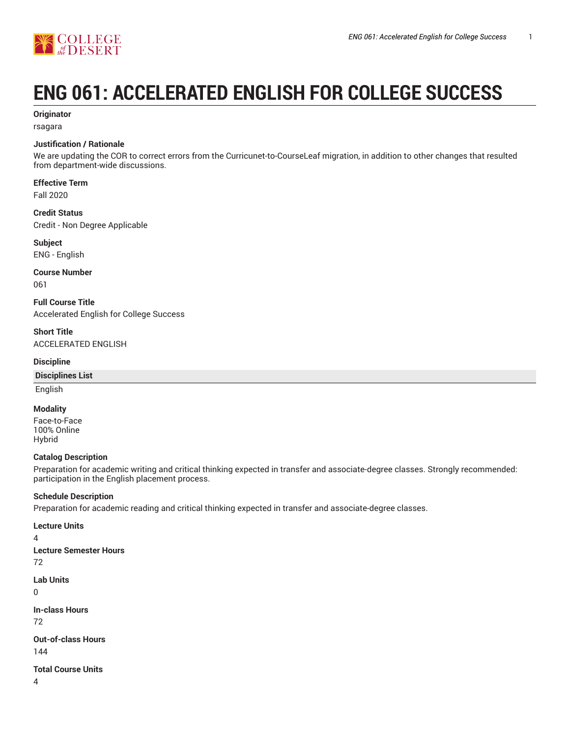

# **ENG 061: ACCELERATED ENGLISH FOR COLLEGE SUCCESS**

# **Originator**

rsagara

# **Justification / Rationale**

We are updating the COR to correct errors from the Curricunet-to-CourseLeaf migration, in addition to other changes that resulted from department-wide discussions.

**Effective Term**

Fall 2020

#### **Credit Status**

Credit - Non Degree Applicable

**Subject** ENG - English

**Course Number** 061

**Full Course Title** Accelerated English for College Success

**Short Title** ACCELERATED ENGLISH

#### **Discipline**

#### **Disciplines List**

English

#### **Modality**

Face-to-Face 100% Online Hybrid

## **Catalog Description**

Preparation for academic writing and critical thinking expected in transfer and associate-degree classes. Strongly recommended: participation in the English placement process.

## **Schedule Description**

Preparation for academic reading and critical thinking expected in transfer and associate-degree classes.

**Lecture Units** 4

**Lecture Semester Hours** 72

**Lab Units**

0

**In-class Hours** 72

**Out-of-class Hours** 144

**Total Course Units**

4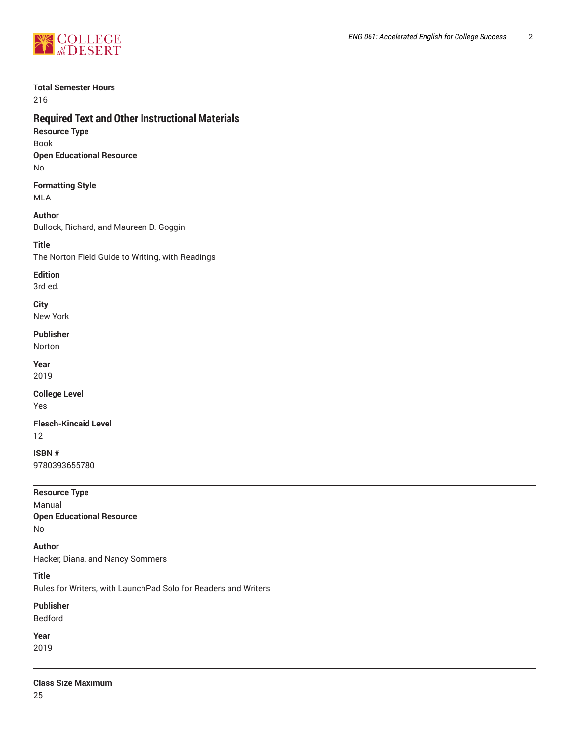

# **Total Semester Hours**

216

# **Required Text and Other Instructional Materials**

**Resource Type** Book **Open Educational Resource**

No

**Formatting Style** MLA

# **Author**

Bullock, Richard, and Maureen D. Goggin

# **Title**

The Norton Field Guide to Writing, with Readings

# **Edition**

3rd ed.

# **City**

New York

## **Publisher**

Norton

# **Year**

2019

#### **College Level** Yes

**Flesch-Kincaid Level**

12

# **ISBN #** 9780393655780

# **Resource Type** Manual

**Open Educational Resource** No

# **Author**

Hacker, Diana, and Nancy Sommers

# **Title**

Rules for Writers, with LaunchPad Solo for Readers and Writers

# **Publisher**

Bedford

# **Year**

2019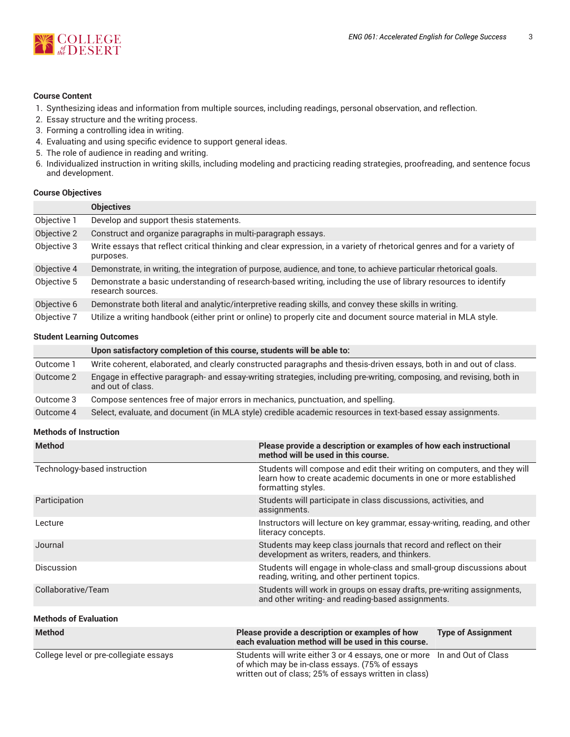

### **Course Content**

- 1. Synthesizing ideas and information from multiple sources, including readings, personal observation, and reflection.
- 2. Essay structure and the writing process.
- 3. Forming a controlling idea in writing.
- 4. Evaluating and using specific evidence to support general ideas.
- 5. The role of audience in reading and writing.
- 6. Individualized instruction in writing skills, including modeling and practicing reading strategies, proofreading, and sentence focus and development.

#### **Course Objectives**

|             | <b>Objectives</b>                                                                                                                     |
|-------------|---------------------------------------------------------------------------------------------------------------------------------------|
| Objective 1 | Develop and support thesis statements.                                                                                                |
| Objective 2 | Construct and organize paragraphs in multi-paragraph essays.                                                                          |
| Objective 3 | Write essays that reflect critical thinking and clear expression, in a variety of rhetorical genres and for a variety of<br>purposes. |
| Objective 4 | Demonstrate, in writing, the integration of purpose, audience, and tone, to achieve particular rhetorical goals.                      |
| Objective 5 | Demonstrate a basic understanding of research-based writing, including the use of library resources to identify<br>research sources.  |
| Objective 6 | Demonstrate both literal and analytic/interpretive reading skills, and convey these skills in writing.                                |
| Objective 7 | Utilize a writing handbook (either print or online) to properly cite and document source material in MLA style.                       |

# **Student Learning Outcomes**

|           | Upon satisfactory completion of this course, students will be able to:                                                                    |
|-----------|-------------------------------------------------------------------------------------------------------------------------------------------|
| Outcome 1 | Write coherent, elaborated, and clearly constructed paragraphs and thesis-driven essays, both in and out of class.                        |
| Outcome 2 | Engage in effective paragraph- and essay-writing strategies, including pre-writing, composing, and revising, both in<br>and out of class. |
| Outcome 3 | Compose sentences free of major errors in mechanics, punctuation, and spelling.                                                           |
| Outcome 4 | Select, evaluate, and document (in MLA style) credible academic resources in text-based essay assignments.                                |

#### **Methods of Instruction**

| <b>Method</b>                          | Please provide a description or examples of how each instructional<br>method will be used in this course.                                                           |                           |  |
|----------------------------------------|---------------------------------------------------------------------------------------------------------------------------------------------------------------------|---------------------------|--|
| Technology-based instruction           | Students will compose and edit their writing on computers, and they will<br>learn how to create academic documents in one or more established<br>formatting styles. |                           |  |
| Participation                          | Students will participate in class discussions, activities, and<br>assignments.                                                                                     |                           |  |
| Lecture                                | Instructors will lecture on key grammar, essay-writing, reading, and other<br>literacy concepts.                                                                    |                           |  |
| Journal                                | Students may keep class journals that record and reflect on their<br>development as writers, readers, and thinkers.                                                 |                           |  |
| <b>Discussion</b>                      | Students will engage in whole-class and small-group discussions about<br>reading, writing, and other pertinent topics.                                              |                           |  |
| Collaborative/Team                     | Students will work in groups on essay drafts, pre-writing assignments,<br>and other writing- and reading-based assignments.                                         |                           |  |
| <b>Methods of Evaluation</b>           |                                                                                                                                                                     |                           |  |
| <b>Method</b>                          | Please provide a description or examples of how<br>each evaluation method will be used in this course.                                                              | <b>Type of Assignment</b> |  |
| College level or pre-collegiate essays | Students will write either 3 or 4 essays, one or more<br>of which may be in-class essays. (75% of essays<br>written out of class; 25% of essays written in class)   | In and Out of Class       |  |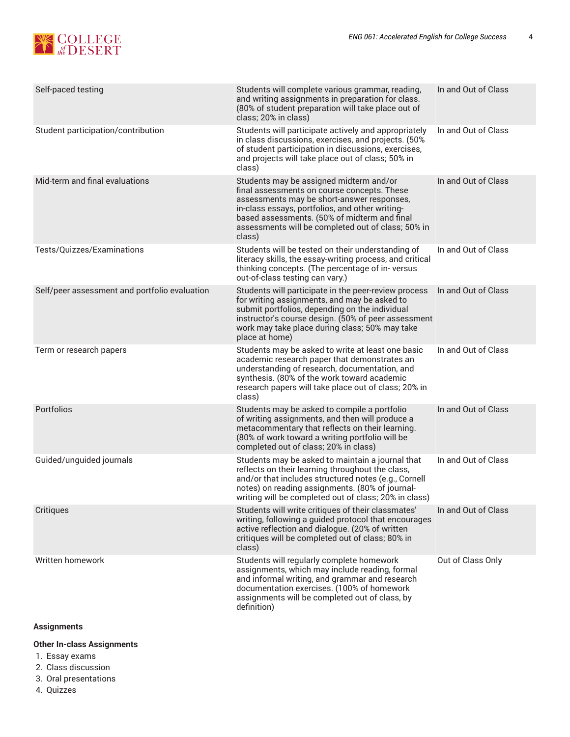

| Self-paced testing                            | Students will complete various grammar, reading,<br>and writing assignments in preparation for class.<br>(80% of student preparation will take place out of<br>class; 20% in class)                                                                                                                     | In and Out of Class |
|-----------------------------------------------|---------------------------------------------------------------------------------------------------------------------------------------------------------------------------------------------------------------------------------------------------------------------------------------------------------|---------------------|
| Student participation/contribution            | Students will participate actively and appropriately<br>in class discussions, exercises, and projects. (50%<br>of student participation in discussions, exercises,<br>and projects will take place out of class; 50% in<br>class)                                                                       | In and Out of Class |
| Mid-term and final evaluations                | Students may be assigned midterm and/or<br>final assessments on course concepts. These<br>assessments may be short-answer responses,<br>in-class essays, portfolios, and other writing-<br>based assessments. (50% of midterm and final<br>assessments will be completed out of class; 50% in<br>class) | In and Out of Class |
| Tests/Quizzes/Examinations                    | Students will be tested on their understanding of<br>literacy skills, the essay-writing process, and critical<br>thinking concepts. (The percentage of in-versus<br>out-of-class testing can vary.)                                                                                                     | In and Out of Class |
| Self/peer assessment and portfolio evaluation | Students will participate in the peer-review process<br>for writing assignments, and may be asked to<br>submit portfolios, depending on the individual<br>instructor's course design. (50% of peer assessment<br>work may take place during class; 50% may take<br>place at home)                       | In and Out of Class |
| Term or research papers                       | Students may be asked to write at least one basic<br>academic research paper that demonstrates an<br>understanding of research, documentation, and<br>synthesis. (80% of the work toward academic<br>research papers will take place out of class; 20% in<br>class)                                     | In and Out of Class |
| Portfolios                                    | Students may be asked to compile a portfolio<br>of writing assignments, and then will produce a<br>metacommentary that reflects on their learning.<br>(80% of work toward a writing portfolio will be<br>completed out of class; 20% in class)                                                          | In and Out of Class |
| Guided/unguided journals                      | Students may be asked to maintain a journal that<br>reflects on their learning throughout the class,<br>and/or that includes structured notes (e.g., Cornell<br>notes) on reading assignments. (80% of journal-<br>writing will be completed out of class; 20% in class)                                | In and Out of Class |
| Critiques                                     | Students will write critiques of their classmates'<br>writing, following a guided protocol that encourages<br>active reflection and dialogue. (20% of written<br>critiques will be completed out of class; 80% in<br>class)                                                                             | In and Out of Class |
| Written homework                              | Students will regularly complete homework<br>assignments, which may include reading, formal<br>and informal writing, and grammar and research<br>documentation exercises. (100% of homework<br>assignments will be completed out of class, by<br>definition)                                            | Out of Class Only   |

# **Assignments**

# **Other In-class Assignments**

- 1. Essay exams
- 2. Class discussion
- 3. Oral presentations
- 4. Quizzes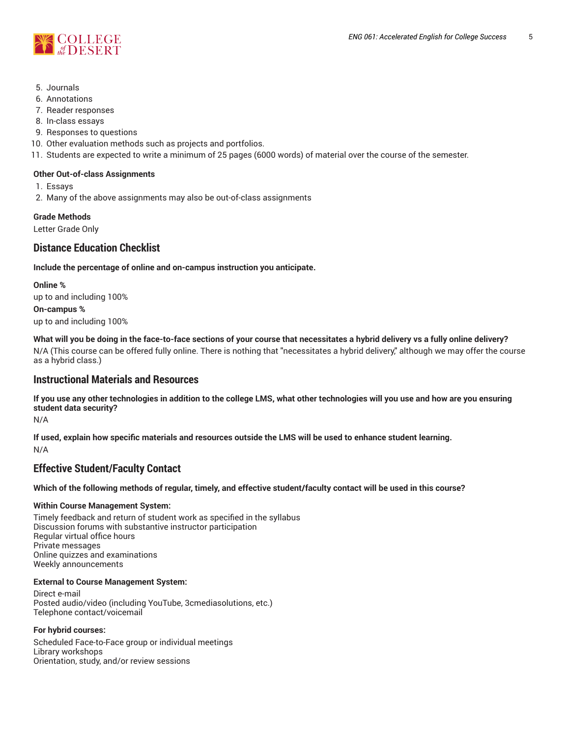



- 5. Journals
- 6. Annotations
- 7. Reader responses
- 8. In-class essays
- 9. Responses to questions
- 10. Other evaluation methods such as projects and portfolios.
- 11. Students are expected to write a minimum of 25 pages (6000 words) of material over the course of the semester.

#### **Other Out-of-class Assignments**

- 1. Essays
- 2. Many of the above assignments may also be out-of-class assignments

**Grade Methods**

Letter Grade Only

# **Distance Education Checklist**

**Include the percentage of online and on-campus instruction you anticipate.**

**Online %** up to and including 100% **On-campus %** up to and including 100%

What will you be doing in the face-to-face sections of your course that necessitates a hybrid delivery vs a fully online delivery? N/A (This course can be offered fully online. There is nothing that "necessitates a hybrid delivery," although we may offer the course as a hybrid class.)

# **Instructional Materials and Resources**

If you use any other technologies in addition to the college LMS, what other technologies will you use and how are you ensuring **student data security?**

N/A

**If used, explain how specific materials and resources outside the LMS will be used to enhance student learning.** N/A

# **Effective Student/Faculty Contact**

Which of the following methods of regular, timely, and effective student/faculty contact will be used in this course?

## **Within Course Management System:**

Timely feedback and return of student work as specified in the syllabus Discussion forums with substantive instructor participation Regular virtual office hours Private messages Online quizzes and examinations Weekly announcements

## **External to Course Management System:**

Direct e-mail Posted audio/video (including YouTube, 3cmediasolutions, etc.) Telephone contact/voicemail

## **For hybrid courses:**

Scheduled Face-to-Face group or individual meetings Library workshops Orientation, study, and/or review sessions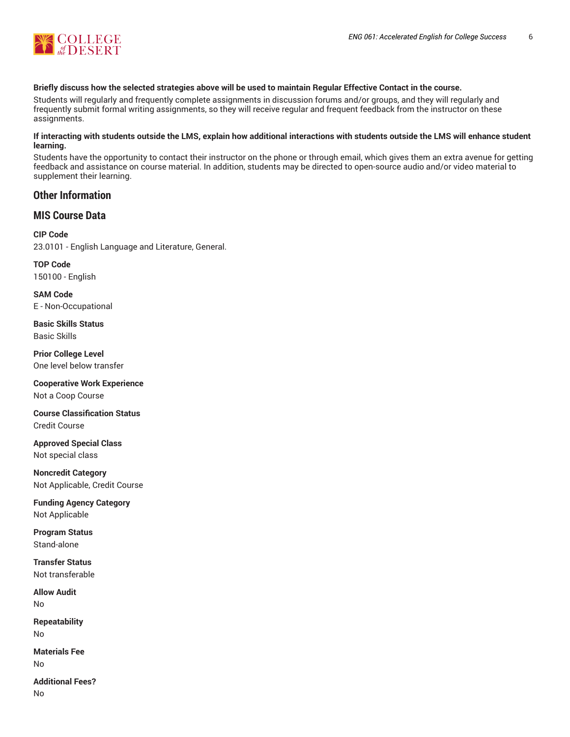

#### Briefly discuss how the selected strategies above will be used to maintain Regular Effective Contact in the course.

Students will regularly and frequently complete assignments in discussion forums and/or groups, and they will regularly and frequently submit formal writing assignments, so they will receive regular and frequent feedback from the instructor on these assignments.

#### **If interacting with students outside the LMS, explain how additional interactions with students outside the LMS will enhance student learning.**

Students have the opportunity to contact their instructor on the phone or through email, which gives them an extra avenue for getting feedback and assistance on course material. In addition, students may be directed to open-source audio and/or video material to supplement their learning.

# **Other Information**

# **MIS Course Data**

**CIP Code** 23.0101 - English Language and Literature, General.

**TOP Code** 150100 - English

**SAM Code** E - Non-Occupational

**Basic Skills Status** Basic Skills

**Prior College Level** One level below transfer

**Cooperative Work Experience** Not a Coop Course

**Course Classification Status** Credit Course

**Approved Special Class** Not special class

**Noncredit Category** Not Applicable, Credit Course

**Funding Agency Category** Not Applicable

**Program Status** Stand-alone

**Transfer Status** Not transferable

**Allow Audit** No

**Repeatability** No

**Materials Fee** No

**Additional Fees?** No